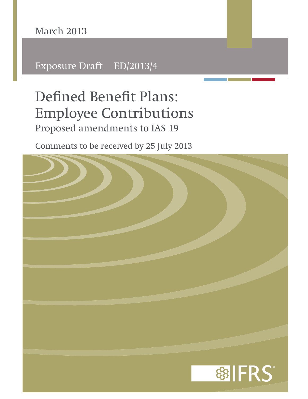Exposure Draft ED/2013/4

# **Defined Benefit Plans: Employee Contributions** Proposed amendments to IAS 19

Comments to be received by 25 July 2013

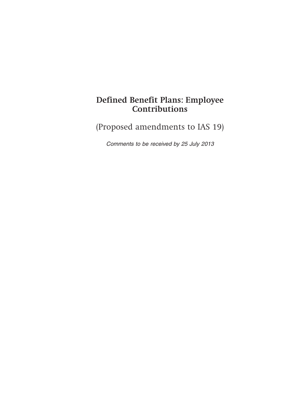## **Defined Benefit Plans: Employee Contributions**

(Proposed amendments to IAS 19)

Comments to be received by 25 July 2013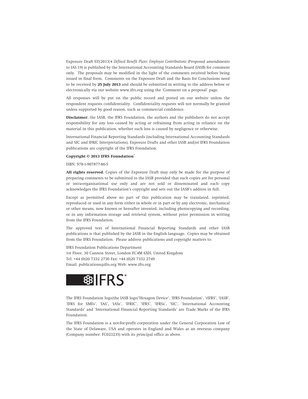Exposure Draft ED/2013/4 *Defined Benefit Plans: Employee Contributions* (Proposed amendments to IAS 19) is published by the International Accounting Standards Board (IASB) for comment only. The proposals may be modified in the light of the comments received before being issued in final form. Comments on the Exposure Draft and the Basis for Conclusions need to be received by **25 July 2013** and should be submitted in writing to the address below or electronically via our website www.ifrs.org using the 'Comment on a proposal' page.

All responses will be put on the public record and posted on our website unless the respondent requests confidentiality. Confidentiality requests will not normally be granted unless supported by good reason, such as commercial confidence.

**Disclaimer:** the IASB, the IFRS Foundation, the authors and the publishers do not accept responsibility for any loss caused by acting or refraining from acting in reliance on the material in this publication, whether such loss is caused by negligence or otherwise.

International Financial Reporting Standards (including International Accounting Standards and SIC and IFRIC Interpretations), Exposure Drafts and other IASB and/or IFRS Foundation publications are copyright of the IFRS Foundation.

#### **Copyright © 2013 IFRS Foundation®**

ISBN: 978-1-907877-86-5

**All rights reserved.** Copies of the Exposure Draft may only be made for the purpose of preparing comments to be submitted to the IASB provided that such copies are for personal or intra-organisational use only and are not sold or disseminated and each copy acknowledges the IFRS Foundation's copyright and sets out the IASB's address in full.

Except as permitted above no part of this publication may be translated, reprinted, reproduced or used in any form either in whole or in part or by any electronic, mechanical or other means, now known or hereafter invented, including photocopying and recording, or in any information storage and retrieval system, without prior permission in writing from the IFRS Foundation.

The approved text of International Financial Reporting Standards and other IASB publications is that published by the IASB in the English language. Copies may be obtained from the IFRS Foundation. Please address publications and copyright matters to:

IFRS Foundation Publications Department 1st Floor, 30 Cannon Street, London EC4M 6XH, United Kingdom Tel: +44 (0)20 7332 2730 Fax: +44 (0)20 7332 2749 Email: publications@ifrs.org Web: www.ifrs.org



The IFRS Foundation logo/the IASB logo/'Hexagon Device', 'IFRS Foundation', '*e*IFRS', 'IASB', 'IFRS for SMEs', 'IAS', 'IASs', 'IFRIC', 'IFRS', 'IFRSs', 'SIC', 'International Accounting Standards' and 'International Financial Reporting Standards' are Trade Marks of the IFRS Foundation.

The IFRS Foundation is a not-for-profit corporation under the General Corporation Law of the State of Delaware, USA and operates in England and Wales as an overseas company (Company number: FC023235) with its principal office as above.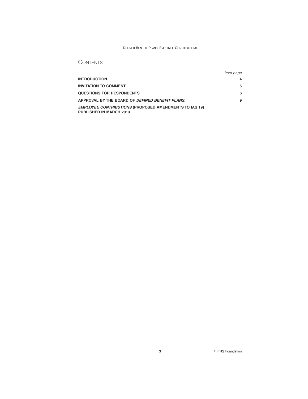#### DEFINED BENEFIT PLANS: EMPLOYEE CONTRIBUTIONS

## **CONTENTS**

|                                                                                                 | trom page |
|-------------------------------------------------------------------------------------------------|-----------|
| <b>INTRODUCTION</b>                                                                             | 4         |
| <b>INVITATION TO COMMENT</b>                                                                    | 5         |
| <b>QUESTIONS FOR RESPONDENTS</b>                                                                | 6         |
| APPROVAL BY THE BOARD OF DEFINED BENEFIT PLANS:                                                 | 9         |
| <b>EMPLOYEE CONTRIBUTIONS (PROPOSED AMENDMENTS TO IAS 19)</b><br><b>PUBLISHED IN MARCH 2013</b> |           |

**3 B** IFRS Foundation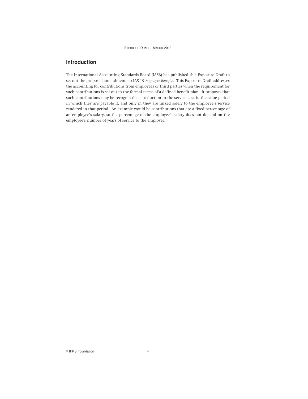## **Introduction**

The International Accounting Standards Board (IASB) has published this Exposure Draft to set out the proposed amendments to IAS 19 *Employee Benefits*. This Exposure Draft addresses the accounting for contributions from employees or third parties when the requirement for such contributions is set out in the formal terms of a defined benefit plan. It proposes that such contributions may be recognised as a reduction in the service cost in the same period in which they are payable if, and only if, they are linked solely to the employee's service rendered in that period. An example would be contributions that are a fixed percentage of an employee's salary, so the percentage of the employee's salary does not depend on the employee's number of years of service to the employer.

 $\degree$  IFRS Foundation  $4$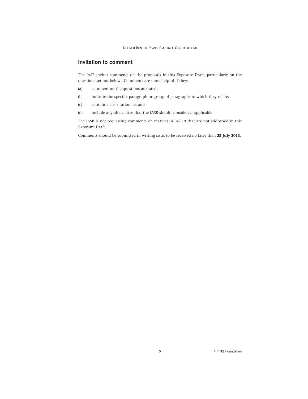DEFINED BENEFIT PLANS: EMPLOYEE CONTRIBUTIONS

## **Invitation to comment**

The IASB invites comments on the proposals in this Exposure Draft, particularly on the questions set out below. Comments are most helpful if they:

- (a) comment on the questions as stated;
- (b) indicate the specific paragraph or group of paragraphs to which they relate;
- (c) contain a clear rationale; and
- (d) include any alternative that the IASB should consider, if applicable.

The IASB is not requesting comments on matters in IAS 19 that are not addressed in this Exposure Draft.

Comments should be submitted in writing so as to be received no later than **25 July 2013**.

5 **B** IFRS Foundation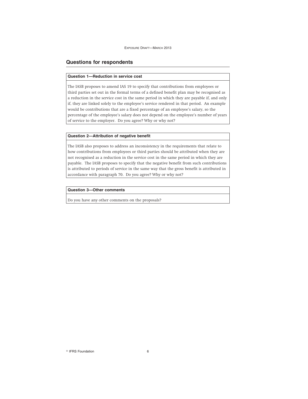## **Questions for respondents**

## **Question 1—Reduction in service cost**

The IASB proposes to amend IAS 19 to specify that contributions from employees or third parties set out in the formal terms of a defined benefit plan may be recognised as a reduction in the service cost in the same period in which they are payable if, and only if, they are linked solely to the employee's service rendered in that period. An example would be contributions that are a fixed percentage of an employee's salary, so the percentage of the employee's salary does not depend on the employee's number of years of service to the employer. Do you agree? Why or why not?

## **Question 2—Attribution of negative benefit**

The IASB also proposes to address an inconsistency in the requirements that relate to how contributions from employees or third parties should be attributed when they are not recognised as a reduction in the service cost in the same period in which they are payable. The IASB proposes to specify that the negative benefit from such contributions is attributed to periods of service in the same way that the gross benefit is attributed in accordance with paragraph 70. Do you agree? Why or why not?

#### **Question 3—Other comments**

Do you have any other comments on the proposals?

 $\degree$  IFRS Foundation 6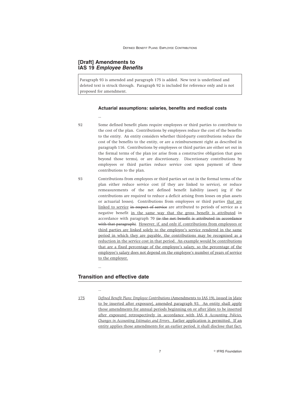## **[Draft] Amendments to IAS 19 Employee Benefits**

Paragraph 93 is amended and paragraph 175 is added. New text is underlined and deleted text is struck through. Paragraph 92 is included for reference only and is not proposed for amendment.

#### **Actuarial assumptions: salaries, benefits and medical costs**

…

92 Some defined benefit plans require employees or third parties to contribute to the cost of the plan. Contributions by employees reduce the cost of the benefits to the entity. An entity considers whether third-party contributions reduce the cost of the benefits to the entity, or are a reimbursement right as described in paragraph 116. Contributions by employees or third parties are either set out in the formal terms of the plan (or arise from a constructive obligation that goes beyond those terms), or are discretionary. Discretionary contributions by employees or third parties reduce service cost upon payment of these contributions to the plan.

93 Contributions from employees or third parties set out in the formal terms of the plan either reduce service cost (if they are linked to service), or reduce remeasurements of the net defined benefit liability (asset) (eg if the contributions are required to reduce a deficit arising from losses on plan assets or actuarial losses). Contributions from employees or third parties that are linked to service in respect of service are attributed to periods of service as a negative benefit in the same way that the gross benefit is attributed in accordance with paragraph 70 (ie the net benefit is attributed in accordance with that paragraph). However, if, and only if, contributions from employees or third parties are linked solely to the employee's service rendered in the same period in which they are payable, the contributions may be recognised as a reduction in the service cost in that period. An example would be contributions that are a fixed percentage of the employee's salary, so the percentage of the employee's salary does not depend on the employee's number of years of service to the employer.

## **Transition and effective date**

...

…

175 *Defined Benefit Plans: Employee Contributions* (Amendments to IAS 19), issued in [date to be inserted after exposure], amended paragraph 93. An entity shall apply those amendments for annual periods beginning on or after [date to be inserted after exposure] retrospectively in accordance with IAS 8 *Accounting Policies, Changes in Accounting Estimates and Errors*. Earlier application is permitted. If an entity applies those amendments for an earlier period, it shall disclose that fact.

7 **R IFRS Foundation**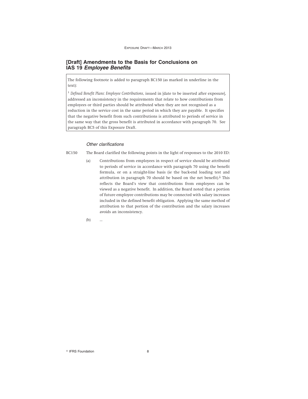## **[Draft] Amendments to the Basis for Conclusions on IAS 19 Employee Benefits**

The following footnote is added to paragraph BC150 (as marked in underline in the text):

<sup>1</sup> *Defined Benefit Plans: Employee Contributions*, issued in [date to be inserted after exposure], addressed an inconsistency in the requirements that relate to how contributions from employees or third parties should be attributed when they are not recognised as a reduction in the service cost in the same period in which they are payable. It specifies that the negative benefit from such contributions is attributed to periods of service in the same way that the gross benefit is attributed in accordance with paragraph 70. See paragraph BC5 of this Exposure Draft.

## Other clarifications

BC150 The Board clarified the following points in the light of responses to the 2010 ED:

(a) Contributions from employees in respect of service should be attributed to periods of service in accordance with paragraph 70 using the benefit formula, or on a straight-line basis (ie the back-end loading test and attribution in paragraph 70 should be based on the net benefit). $<sup>1</sup>$  This</sup> reflects the Board's view that contributions from employees can be viewed as a negative benefit. In addition, the Board noted that a portion of future employee contributions may be connected with salary increases included in the defined benefit obligation. Applying the same method of attribution to that portion of the contribution and the salary increases avoids an inconsistency.

(b) ...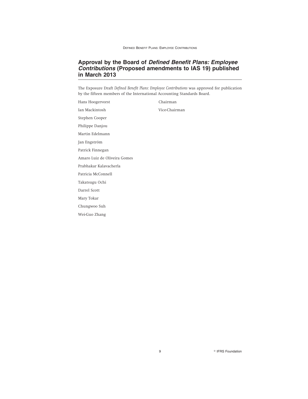## **Approval by the Board of Defined Benefit Plans: Employee Contributions (Proposed amendments to IAS 19) published in March 2013**

The Exposure Draft *Defined Benefit Plans: Employee Contributions* was approved for publication by the fifteen members of the International Accounting Standards Board.

| Hans Hoogervorst             | Chairman      |
|------------------------------|---------------|
| Ian Mackintosh               | Vice-Chairman |
| Stephen Cooper               |               |
| Philippe Danjou              |               |
| Martin Edelmann              |               |
| Jan Engström                 |               |
| Patrick Finnegan             |               |
| Amaro Luiz de Oliveira Gomes |               |
| Prabhakar Kalavacherla       |               |
| Patricia McConnell           |               |
| Takatsugu Ochi               |               |
| Darrel Scott                 |               |
| Mary Tokar                   |               |
| Chungwoo Suh                 |               |
| Wei-Guo Zhang                |               |
|                              |               |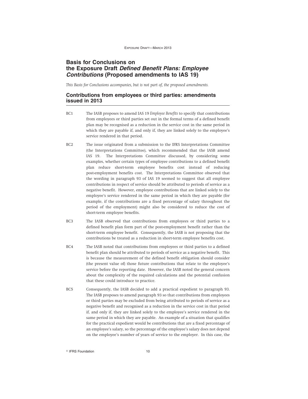## **Basis for Conclusions on the Exposure Draft Defined Benefit Plans: Employee Contributions (Proposed amendments to IAS 19)**

*This Basis for Conclusions accompanies, but is not part of, the proposed amendments.*

## **Contributions from employees or third parties: amendments issued in 2013**

- BC1 The IASB proposes to amend IAS 19 *Employee Benefits* to specify that contributions from employees or third parties set out in the formal terms of a defined benefit plan may be recognised as a reduction in the service cost in the same period in which they are payable if, and only if, they are linked solely to the employee's service rendered in that period.
- BC2 The issue originated from a submission to the IFRS Interpretations Committee (the Interpretations Committee), which recommended that the IASB amend IAS 19. The Interpretations Committee discussed, by considering some examples, whether certain types of employee contributions to a defined benefit plan reduce short-term employee benefits cost instead of reducing post-employment benefits cost. The Interpretations Committee observed that the wording in paragraph 93 of IAS 19 seemed to suggest that all employee contributions in respect of service should be attributed to periods of service as a negative benefit. However, employee contributions that are linked solely to the employee's service rendered in the same period in which they are payable (for example, if the contributions are a fixed percentage of salary throughout the period of the employment) might also be considered to reduce the cost of short-term employee benefits.
- BC3 The IASB observed that contributions from employees or third parties to a defined benefit plan form part of the post-employment benefit rather than the short-term employee benefit. Consequently, the IASB is not proposing that the contributions be treated as a reduction in short-term employee benefits cost.
- BC4 The IASB noted that contributions from employees or third parties to a defined benefit plan should be attributed to periods of service as a negative benefit. This is because the measurement of the defined benefit obligation should consider (the present value of) those future contributions that relate to the employee's service before the reporting date. However, the IASB noted the general concern about the complexity of the required calculations and the potential confusion that these could introduce to practice.
- BC5 Consequently, the IASB decided to add a practical expedient to paragraph 93. The IASB proposes to amend paragraph 93 so that contributions from employees or third parties may be excluded from being attributed to periods of service as a negative benefit and recognised as a reduction in the service cost in that period if, and only if, they are linked solely to the employee's service rendered in the same period in which they are payable. An example of a situation that qualifies for the practical expedient would be contributions that are a fixed percentage of an employee's salary, so the percentage of the employee's salary does not depend on the employee's number of years of service to the employer. In this case, the

<sup>©</sup> IFRS Foundation 10